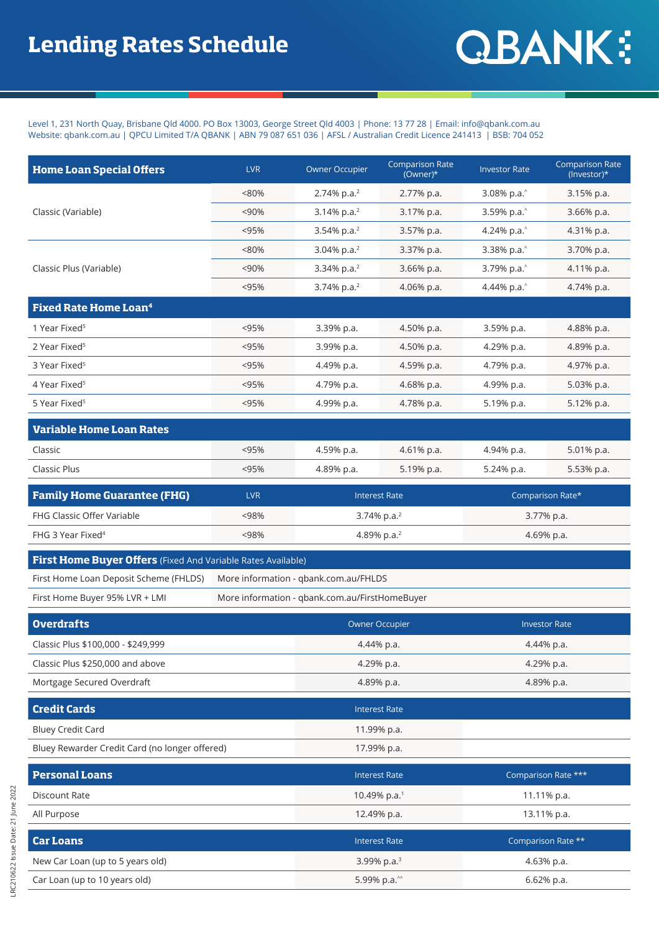## **QBANK:**

Level 1, 231 North Quay, Brisbane Qld 4000. PO Box 13003, George Street Qld 4003 | Phone: 13 77 28 | Email: info@qbank.com.au Website: qbank.com.au | QPCU Limited T/A QBANK | ABN 79 087 651 036 | AFSL / Australian Credit Licence 241413 | BSB: 704 052

| <b>Home Loan Special Offers</b>                                     | <b>LVR</b>                                     | <b>Owner Occupier</b>   | <b>Comparison Rate</b><br>(Owner)* | <b>Investor Rate</b> | <b>Comparison Rate</b><br>(Investor)* |
|---------------------------------------------------------------------|------------------------------------------------|-------------------------|------------------------------------|----------------------|---------------------------------------|
| Classic (Variable)                                                  | < 80%                                          | 2.74% p.a. <sup>2</sup> | 2.77% p.a.                         | 3.08% p.a.           | 3.15% p.a.                            |
|                                                                     | < 90%                                          | 3.14% p.a. $2$          | 3.17% p.a.                         | 3.59% p.a.           | 3.66% p.a.                            |
|                                                                     | < 95%                                          | 3.54% p.a. $2$          | 3.57% p.a.                         | 4.24% p.a.           | 4.31% p.a.                            |
| Classic Plus (Variable)                                             | $< 80\%$                                       | 3.04% p.a. $2$          | 3.37% p.a.                         | 3.38% p.a.           | 3.70% p.a.                            |
|                                                                     | < 90%                                          | 3.34% p.a. <sup>2</sup> | 3.66% p.a.                         | 3.79% p.a.           | 4.11% p.a.                            |
|                                                                     | < 95%                                          | 3.74% p.a. <sup>2</sup> | 4.06% p.a.                         | 4.44% p.a.           | 4.74% p.a.                            |
| <b>Fixed Rate Home Loan<sup>4</sup></b>                             |                                                |                         |                                    |                      |                                       |
| 1 Year Fixed <sup>5</sup>                                           | < 95%                                          | 3.39% p.a.              | 4.50% p.a.                         | 3.59% p.a.           | 4.88% p.a.                            |
| 2 Year Fixed <sup>5</sup>                                           | < 95%                                          | 3.99% p.a.              | 4.50% p.a.                         | 4.29% p.a.           | 4.89% p.a.                            |
| 3 Year Fixed <sup>5</sup>                                           | < 95%                                          | 4.49% p.a.              | 4.59% p.a.                         | 4.79% p.a.           | 4.97% p.a.                            |
| 4 Year Fixed <sup>5</sup>                                           | < 95%                                          | 4.79% p.a.              | 4.68% p.a.                         | 4.99% p.a.           | 5.03% p.a.                            |
| 5 Year Fixed <sup>5</sup>                                           | < 95%                                          | 4.99% p.a.              | 4.78% p.a.                         | 5.19% p.a.           | 5.12% p.a.                            |
| <b>Variable Home Loan Rates</b>                                     |                                                |                         |                                    |                      |                                       |
| Classic                                                             | < 95%                                          | 4.59% p.a.              | 4.61% p.a.                         | 4.94% p.a.           | 5.01% p.a.                            |
| <b>Classic Plus</b>                                                 | < 95%                                          | 4.89% p.a.              | 5.19% p.a.                         | 5.24% p.a.           | 5.53% p.a.                            |
| <b>Family Home Guarantee (FHG)</b>                                  | <b>LVR</b>                                     | <b>Interest Rate</b>    |                                    | Comparison Rate*     |                                       |
| FHG Classic Offer Variable                                          | < 98%                                          | 3.74% p.a. $2$          |                                    | 3.77% p.a.           |                                       |
| FHG 3 Year Fixed <sup>4</sup>                                       | <98%                                           | 4.89% p.a. <sup>2</sup> |                                    | 4.69% p.a.           |                                       |
| <b>First Home Buyer Offers</b> (Fixed And Variable Rates Available) |                                                |                         |                                    |                      |                                       |
| First Home Loan Deposit Scheme (FHLDS)                              | More information - qbank.com.au/FHLDS          |                         |                                    |                      |                                       |
| First Home Buyer 95% LVR + LMI                                      | More information - qbank.com.au/FirstHomeBuyer |                         |                                    |                      |                                       |
| <b>Overdrafts</b>                                                   |                                                | <b>Owner Occupier</b>   |                                    | <b>Investor Rate</b> |                                       |
| Classic Plus \$100,000 - \$249,999                                  |                                                | 4.44% p.a.              |                                    | 4.44% p.a.           |                                       |
| Classic Plus \$250,000 and above                                    |                                                | 4.29% p.a.              |                                    | 4.29% p.a.           |                                       |
| Mortgage Secured Overdraft                                          |                                                | 4.89% p.a.              |                                    | 4.89% p.a.           |                                       |
| <b>Credit Cards</b>                                                 |                                                | <b>Interest Rate</b>    |                                    |                      |                                       |
| <b>Bluey Credit Card</b>                                            |                                                | 11.99% p.a.             |                                    |                      |                                       |
| Bluey Rewarder Credit Card (no longer offered)                      |                                                | 17.99% p.a.             |                                    |                      |                                       |
| <b>Personal Loans</b>                                               |                                                | <b>Interest Rate</b>    |                                    | Comparison Rate ***  |                                       |
| <b>Discount Rate</b>                                                |                                                | 10.49% p.a.1            |                                    | 11.11% p.a.          |                                       |
| All Purpose                                                         |                                                | 12.49% p.a.             |                                    | 13.11% p.a.          |                                       |
| <b>Car Loans</b>                                                    |                                                | <b>Interest Rate</b>    |                                    | Comparison Rate **   |                                       |
| New Car Loan (up to 5 years old)                                    |                                                | 3.99% p.a. <sup>3</sup> |                                    | 4.63% p.a.           |                                       |
| Car Loan (up to 10 years old)                                       |                                                | 5.99% p.a.^^            |                                    | 6.62% p.a.           |                                       |